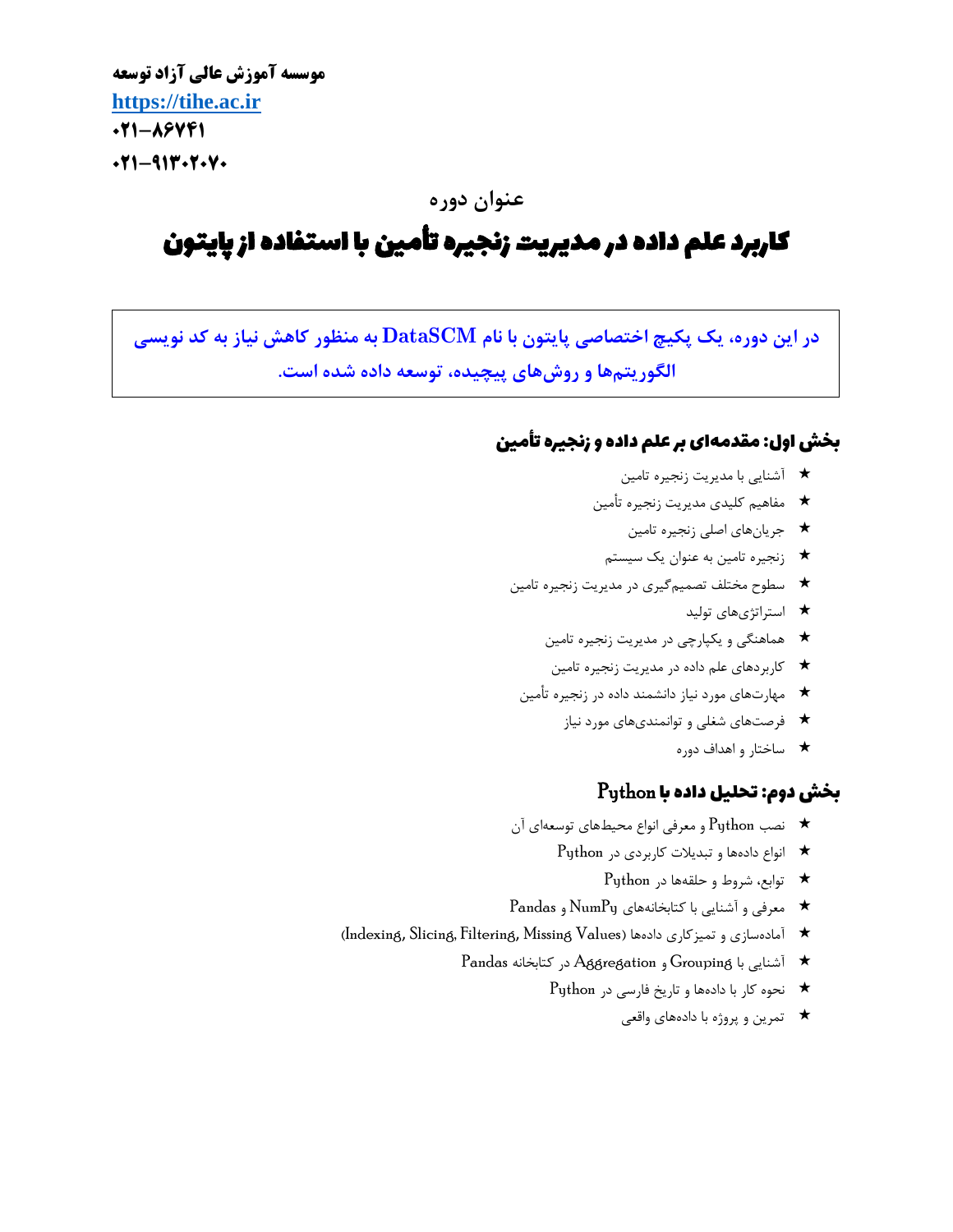**موسسه آموزش عالی آزاد توسعه [https://tihe.ac.ir](https://tihe.ac.ir/) 021-86741**  $-911-11$ 

## **عنوان دوره**

# کاربرد علم داده در مدیریت زنجیره تأمین با استفاده از پایتون

**در این دوره، یک پکیچ اختصاصی پایتون با نام DataSCM به منظور کاهش نیاز به کد نویسی الگوریتمها و روشهای پیچیده، توسعه داده شده است.**

## بخش اول: مقدمهای بر علم داده و زنجیره أتمین

- آشنایی با مدیریت زنجیره تامین
- مفاهیم کلیدی مدیریت زنجیره تأمین
	- جریانهای اصلی زنجیره تامین
	- زنجیره تامین به عنوان یک سیستم
- سطوح مختلف تصمیمگیری در مدیریت زنجیره تامین
	- استراتژی های تولید
	- هماهنگی و یکپارچی در مدیریت زنجیره تامین
	- کاربردهای علم داده در مدیریت زنجیره تامین
	- مهارتهای مورد نیاز دانشمند داده در زنجیره تأمین
		- فرصتهای شغلی و توانمندی های مورد نیاز
			- ساختار و اهداف دوره

## $\rm{Python}$  بخش دوم: تحلیل داده با

- نصب Python و معرفی انواع محیطهای توسعهای آن
	- انواع دادهها و تبدیالت کاربردی در Python
		- توابع، شروط و حلقهها در Python
- معرفی و آشنایی با کتابخانههای NumPy و Pandas
- )Indexing, Slicing, Filtering, Missing Values ( دادهها تمیزکاری و آمادهسازی
	- آشنایی با Grouping و Aggregation در کتابخانه Pandas
		- نحوه کار با دادهها و تاریخ فارسی در Python
			- تمرین و پروژه با دادههای واقعی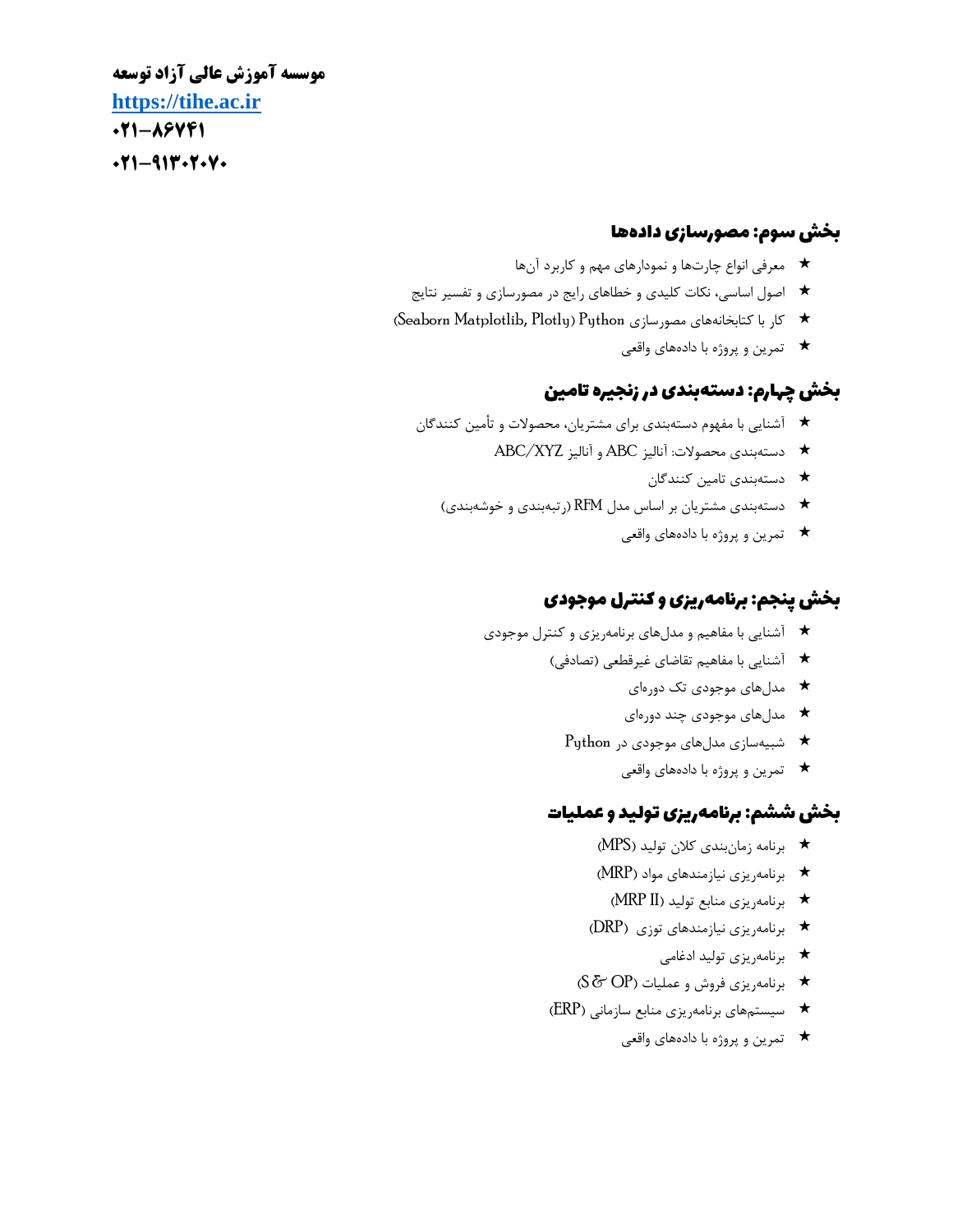**موسسه آموزش عالی آزاد توسعه [https://tihe.ac.ir](https://tihe.ac.ir/) 021-86741**  $-11-9117-7-14$ 

### بخش سوم: مصورسازی دادهها

- معرفی انواع چارتها و نمودارهای مهم و کاربرد آنها
- اصول اساسی، نکات کلیدی و خطاهای رایج در مصورسازی و تفسیر نتایج
- )Seaborn Matplotlib, Plotly ( Python مصورسازی کتابخانههای با کار
	- تمرین و پروژه با دادههای واقعی

## بخش چهارم: دستهبندی در زنجیره اتمین

- آشنایی با مفهوم دستهبندی برای مشتریان، محصوالت و تأمین کنندگان
	- دستهبندی محصوالت: آنالیز ABC و آنالیز XYZ/ABC
		- دستهبندی تامین کنندگان
	- دستهبندی مشتریان بر اساس مدل RFM( رتبهبندی و خوشهبندی(
		- تمرین و پروژه با دادههای واقعی

### بخش پنجم: برانمهریزی و کنترل موجودی

- آشنایی با مفاهیم و مدل های برنامهریزی و کنترل موجودی
	- آشنایی با مفاهیم تقاضای غیرقطعی )تصادفی(
		- مدل های موجودی تک دورهای
		- مدل های موجودی چند دورهای
		- $\text{Python }$  شبیهسازی مدل های موجودی در  $\star$ 
			- تمرین و پروژه با دادههای واقعی

## بخش ششم: برانمهریزی تولید و عملیات

- برنامه زمانبندی کالن تولید ) MPS)
- برنامهریزی نیازمندهای مواد ) MRP)
	- برنامهریزی منابع تولید ) II MRP )
- برنامهریزی نیازمندهای توزی ) DRP)
	- برنامهریزی تولید ادغامی
- برنامهریزی فروش و عملیات ) OP & S)
- سیستمهای برنامهریزی منابع سازمانی ) ERP)
	- تمرین و پروژه با دادههای واقعی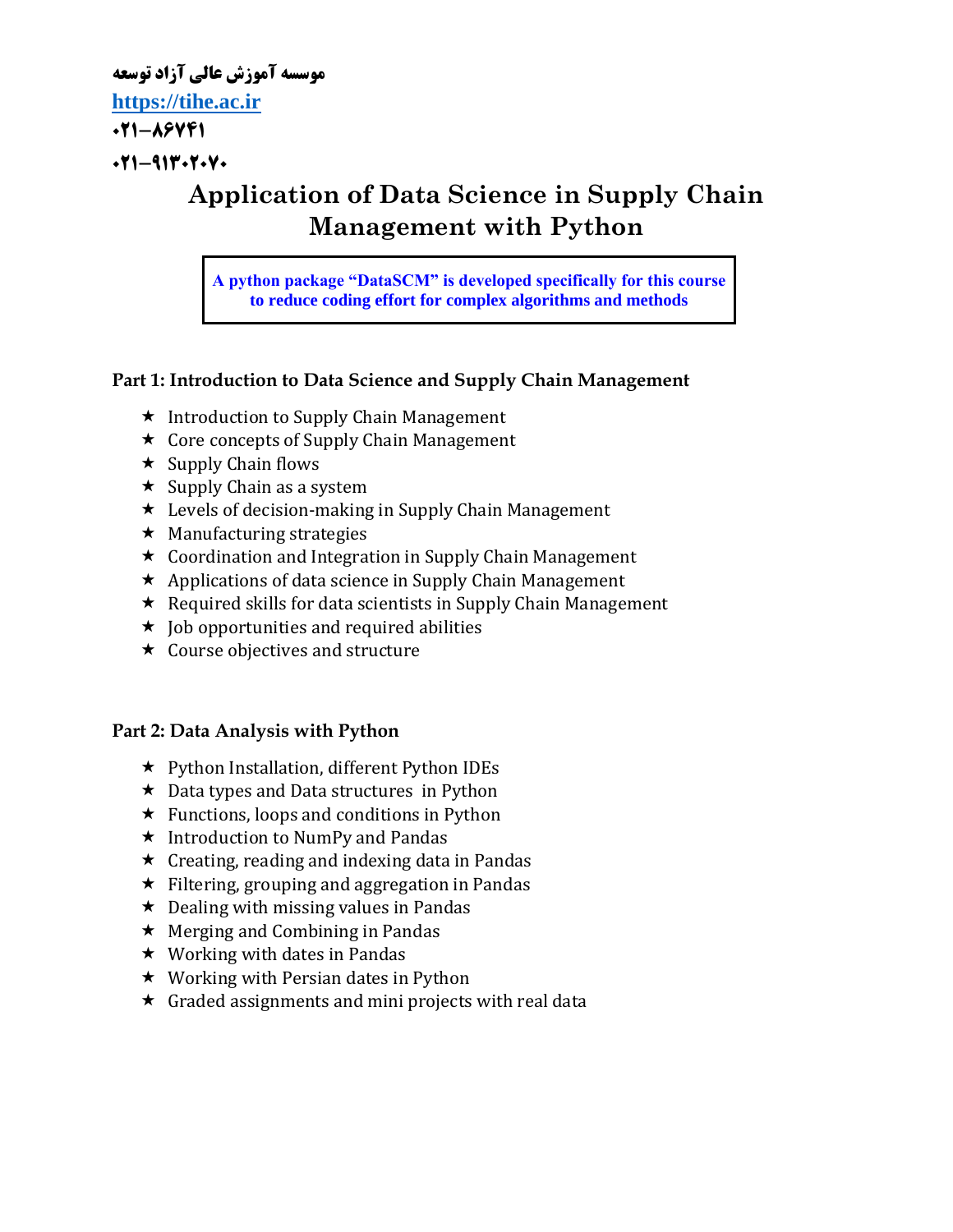**موسسه آموزش عالی آزاد توسعه**

**[https://tihe.ac.ir](https://tihe.ac.ir/)**

**021-86741**

 $-911 - 911 - 7.9$ 

## **Application of Data Science in Supply Chain Management with Python**

**A python package "DataSCM" is developed specifically for this course to reduce coding effort for complex algorithms and methods**

### **Part 1: Introduction to Data Science and Supply Chain Management**

- $\star$  Introduction to Supply Chain Management
- $\star$  Core concepts of Supply Chain Management
- $\star$  Supply Chain flows
- $\star$  Supply Chain as a system
- **★** Levels of decision-making in Supply Chain Management
- $\star$  Manufacturing strategies
- $\star$  Coordination and Integration in Supply Chain Management
- $\star$  Applications of data science in Supply Chain Management
- $\star$  Required skills for data scientists in Supply Chain Management
- $\star$  Job opportunities and required abilities
- $\star$  Course objectives and structure

## **Part 2: Data Analysis with Python**

- Python Installation, different Python IDEs
- $\star$  Data types and Data structures in Python
- $\star$  Functions, loops and conditions in Python
- $\star$  Introduction to NumPy and Pandas
- $\star$  Creating, reading and indexing data in Pandas
- $\star$  Filtering, grouping and aggregation in Pandas
- $\star$  Dealing with missing values in Pandas
- $\star$  Merging and Combining in Pandas
- $\star$  Working with dates in Pandas
- $\star$  Working with Persian dates in Python
- $\star$  Graded assignments and mini projects with real data